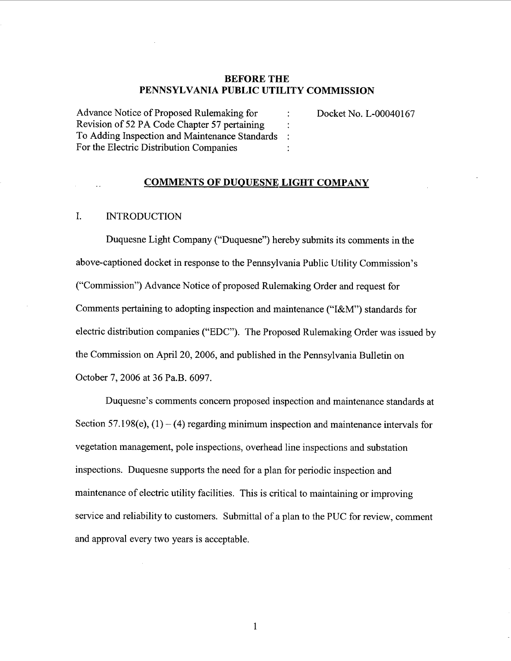### BEFORE THE PENNSYLVANIA PUBLIC UTILITY COMMISSION

 $\ddot{\cdot}$  $\ddot{\phantom{a}}$  $\ddot{\cdot}$  $\ddot{\cdot}$ 

Advance Notice of Proposed Rulemaking for Revision of 52 PA Code Chapter 57 pertaining To Adding Inspection and Maintenance Standards For the Electric Distribution Companies

Docket No. L-00040167

### COMMENTS OF DUQUESNE LIGHT COMPANY

#### I. **INTRODUCTION**

Duquesne Light Company ("Duquesne") hereby submits its comments in the above-captioned docket in response to the Pennsylvania Public Utility Commission ("Commission") Advance Notice of proposed Rulemaking Order and request for Comments pertaining to adopting inspection and maintenance ("I&M") standards for electric distribution companies ("EDC"). The Proposed Rulemaking Order was issued by the Commission on April 20, 2006, and published in the Pennsylvania Bulletin on October 7, 2006 at 36 Pa.B. 6097.

Duquesne's comments concern proposed inspection and maintenance standards at Section 57.198(e),  $(1) - (4)$  regarding minimum inspection and maintenance intervals for vegetation management, pole inspections, overhead line inspections and substation inspections. Duquesne supports the need for a plan for periodic inspection and maintenance of electric utility facilities. This is critical to maintaining or improving service and reliability to customers. Submittal of a plan to the PUC for review, comment and approval every two years is acceptable.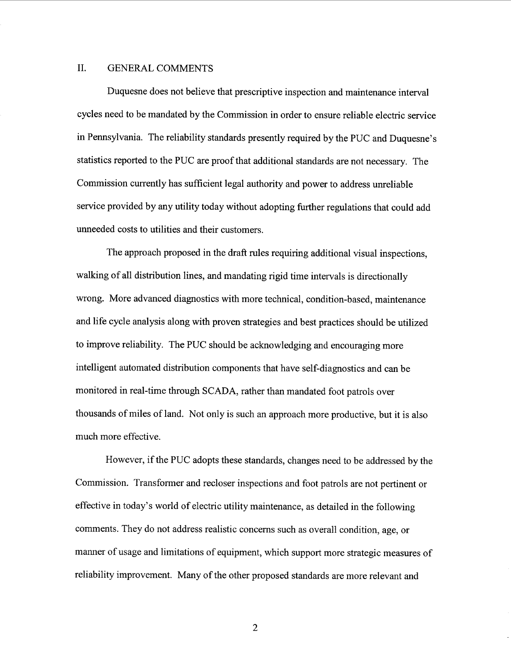### II. GENERAL COMMENTS

Duquesne does not believe that prescriptive inspection and maintenance interval cycles need to be mandated by the Commission in order to ensure reliable electric service in Pennsylvania. The reliability standards presently required by the PUC and Duquesne statistics reported to the PUC are proof that additional standards are not necessary. The Commission currently has sufficient legal authority and power to address unreliable service provided by any utility today without adopting further regulations that could add unneeded costs to utilities and their customers.

The approach proposed in the draft rules requiring additional visual inspections. walking of all distribution lines, and mandating rigid time intervals is directionally wrong. More advanced diagnostics with more technical, condition-based, maintenance and life cycle analysis along with proven strategies and best practices should be utilized to improve reliability. The PUC should be acknowledging and encouraging more intelligent automated distribution components that have self-diagnostics and can be monitored in real-time through SCADA, rather than mandated foot patrols over thousands of miles of land. Not only is such an approach more productive, but it is also much more effective.

However, if the PUC adopts these standards, changes need to be addressed by the Commission. Transformer and recloser inspections and foot patrols are not pertinent or effective in today's world of electric utility maintenance, as detailed in the following comments. They do not address realistic concerns such as overall condition, age, or manner of usage and limitations of equipment, which support more strategic measures of reliability improvement. Many of the other proposed standards are more relevant and

 $\overline{2}$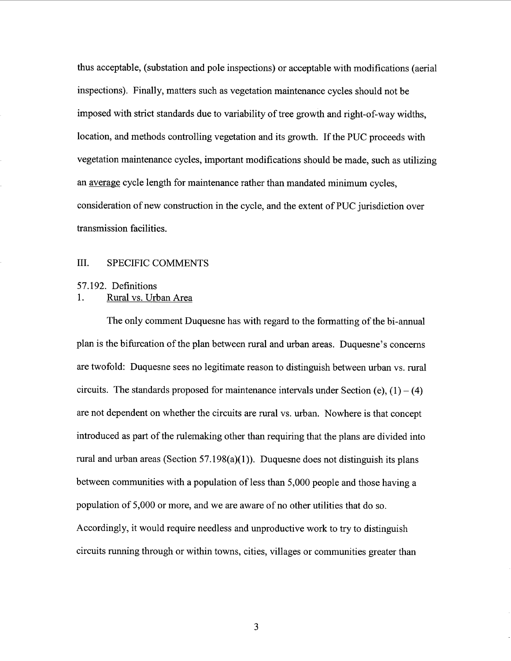thus acceptable, (substation and pole inspections) or acceptable with modifications (aerial inspections). Finally, matters such as vegetation maintenance cycles should not be imposed with strict standards due to variability of tree growth and right-of-way widths location, and methods controlling vegetation and its growth. If the PUC proceeds with vegetation maintenance cycles, important modifications should be made, such as utilizing an average cycle length for maintenance rather than mandated minimum cycles, consideration of new construction in the cycle, and the extent of PUC jurisdiction over transmission facilities.

### III. SPECIFIC COMMENTS

# 57.192. Definitions<br>1. Rural vs. Urban Area

The only comment Duquesne has with regard to the formatting of the bi-annual plan is the bifurcation of the plan between rural and urban areas. Duquesne's concerns are twofold: Duquesne sees no legitimate reason to distinguish between urban vs. rural circuits. The standards proposed for maintenance intervals under Section (e),  $(1) - (4)$ are not dependent on whether the circuits are rural vs. urban. Nowhere is that concept introduced as part of the rulemaking other than requiring that the plans are divided into rural and urban areas (Section  $57.198(a)(1)$ ). Duquesne does not distinguish its plans between communities with a population of less than 5,000 people and those having a population of 5,000 or more, and we are aware of no other utilities that do so. Accordingly, it would require needless and unproductive work to try to distinguish circuits running through or within towns, cities, villages or communities greater than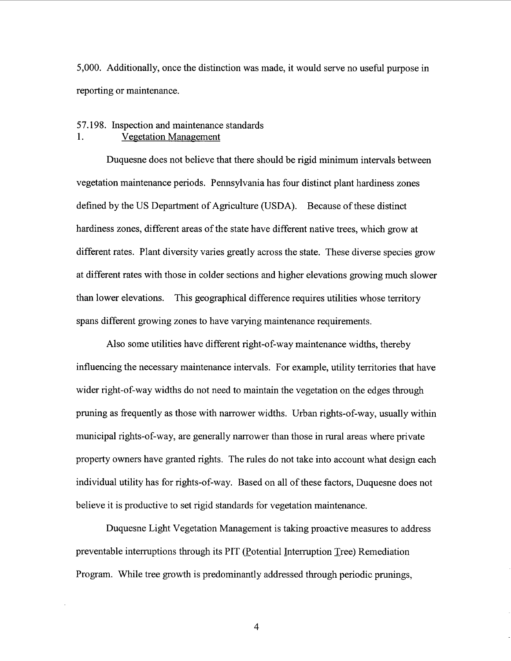000. Additionally, once the distinction was made, it would serve no useful purpose in reporting or maintenance.

### 57. 198. Inspection and maintenance standards 1. Vegetation Management

Duquesne does not believe that there should be rigid minimum intervals between vegetation maintenance periods. Pennsylvania has four distinct plant hardiness zones defined by the US Department of Agriculture (USDA). Because of these distinct hardiness zones, different areas of the state have different native trees, which grow at different rates. Plant diversity varies greatly across the state. These diverse species grow at different rates with those in colder sections and higher elevations growing much slower than lower elevations. This geographical difference requires utilities whose territory spans different growing zones to have varying maintenance requirements.

Also some utilities have different right-of-way maintenance widths, thereby influencing the necessary maintenance intervals. For example, utility territories that have wider right-of-way widths do not need to maintain the vegetation on the edges through pruning as frequently as those with narrower widths. Urban rights-of-way, usually within municipal rights-of-way, are generally narrower than those in rural areas where private property owners have granted rights. The rules do not take into account what design each individual utility has for rights-of-way. Based on all of these factors, Duquesne does not believe it is productive to set rigid standards for vegetation maintenance.

Duquesne Light Vegetation Management is taking proactive measures to address preventable interruptions through its PIT (Potential Interruption Tree) Remediation Program. While tree growth is predominantly addressed through periodic prunings

 $\overline{4}$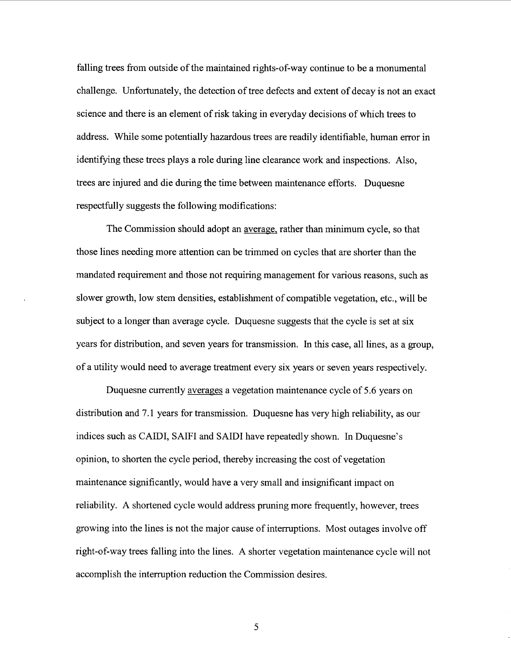falling trees from outside of the maintained rights-of-way continue to be a monumental challenge. Unfortunately, the detection of tree defects and extent of decay is not an exact science and there is an element of risk taking in everyday decisions of which trees to address. While some potentially hazardous trees are readily identifiable, human error in identifying these trees plays a role during line clearance work and inspections. Also trees are injured and die during the time between maintenance efforts. Duquesne respectfully suggests the following modifications:

The Commission should adopt an average. rather than minimum cycle, so that those lines needing more attention can be trimmed on cycles that are shorter than the mandated requirement and those not requiring management for various reasons, such as slower growth, low stem densities, establishment of compatible vegetation, etc. , will be subject to a longer than average cycle. Duquesne suggests that the cycle is set at six years for distribution, and seven years for transmission. In this case, all lines, as a group, of a utility would need to average treatment every six years or seven years respectively.

Duquesne currently averages a vegetation maintenance cycle of 5.6 years on distribution and 7.1 years for transmission. Duquesne has very high reliability, as our indices such as CAIDI, SAIFI and SAIDI have repeatedly shown. In Duquesne opinion, to shorten the cycle period, thereby increasing the cost of vegetation maintenance significantly, would have a very small and insignificant impact on reliability. A shortened cycle would address pruning more frequently, however, trees growing into the lines is not the major cause of interruptions. Most outages involve off right-of-way trees falling into the lines. A shorter vegetation maintenance cycle will not accomplish the interruption reduction the Commission desires.

5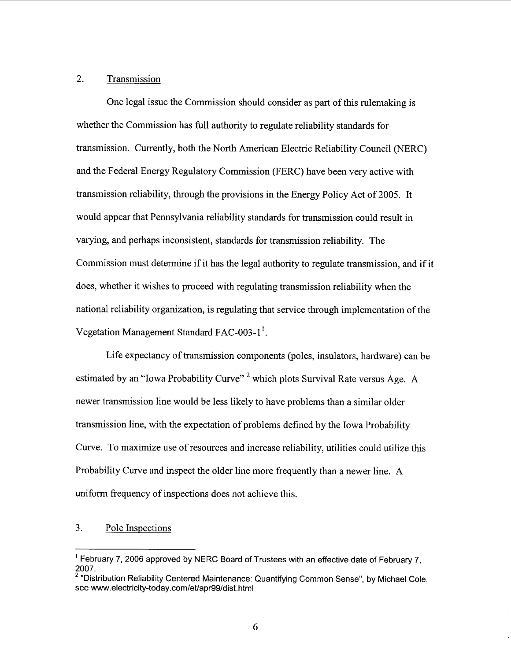#### $2.$ Transmission

One legal issue the Commission should consider as part of this rulemaking is whether the Commission has full authority to regulate reliability standards for transmission. Currently, both the North American Electric Reliability Council (NERC) and the Federal Energy Regulatory Commission (FERC) have been very active with transmission reliability, through the provisions in the Energy Policy Act of 2005. would appear that Pennsylvania reliability standards for transmission could result in varying, and perhaps inconsistent, standards for transmission reliability. The Commission must determine if it has the legal authority to regulate transmission, and if it does, whether it wishes to proceed with regulating transmission reliability when the national reliability organization, is regulating that service through implementation of the Vegetation Management Standard FAC-003-1<sup>1</sup>.

Life expectancy of transmission components (poles, insulators, hardware) can be estimated by an "Iowa Probability Curve"<sup>2</sup> which plots Survival Rate versus Age. A newer transmission line would be less likely to have problems than a similar older transmission line, with the expectation of problems defined by the Iowa Probability Curve. To maximize use of resources and increase reliability, utilities could utilize this Probability Curve and inspect the older line more frequently than a newer line. A uniform frequency of inspections does not achieve this.

#### 3. Pole Inspections

<sup>&</sup>lt;sup>1</sup> February 7, 2006 approved by NERC Board of Trustees with an effective date of February 7, 2007.

<sup>&</sup>lt;sup>2</sup> "Distribution Reliability Centered Maintenance: Quantifying Common Sense", by Michael Cole, see www. electricity-today.com/et/apr99/dist. html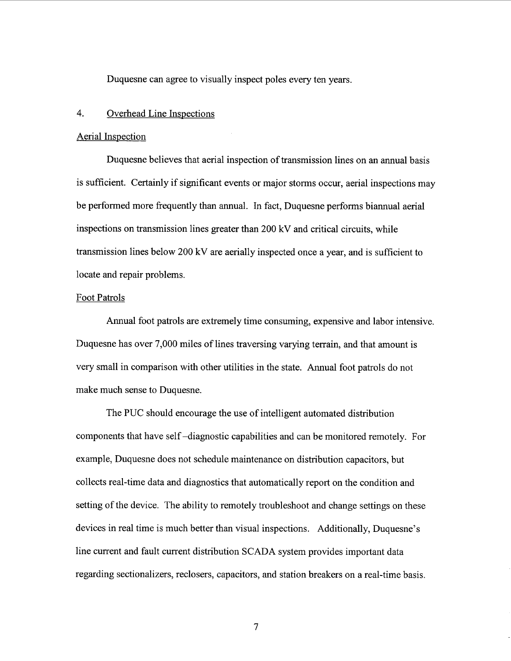Duquesne can agree to visually inspect poles every ten years.

#### $\overline{4}$ . Overhead Line Inspections

### Aerial Inspection

Duquesne believes that aerial inspection of transmission lines on an annual basis is sufficient. Certainly if significant events or major storms occur, aerial inspections may be performed more frequently than annual. In fact, Duquesne performs biannual aerial inspections on transmission lines greater than 200 kV and critical circuits, while transmission lines below 200 kV are aerially inspected once a year, and is sufficient to locate and repair problems.

### Foot Patrols

Annual foot patrols are extremely time consuming, expensive and labor intensive. Duquesne has over 7,000 miles of lines traversing varying terrain, and that amount is very small in comparison with other utilities in the state. Annual foot patrols do not make much sense to Duquesne.

The PUC should encourage the use of intelligent automated distribution components that have self -diagnostic capabilities and can be monitored remotely. For example, Duquesne does not schedule maintenance on distribution capacitors, but collects real-time data and diagnostics that automatically report on the condition and setting of the device. The ability to remotely troubleshoot and change settings on these devices in real time is much better than visual inspections. Additionally, Duquesne's line current and fault current distribution SCADA system provides important data regarding sectionalizers, reclosers, capacitors, and station breakers on a real-time basis.

 $\overline{7}$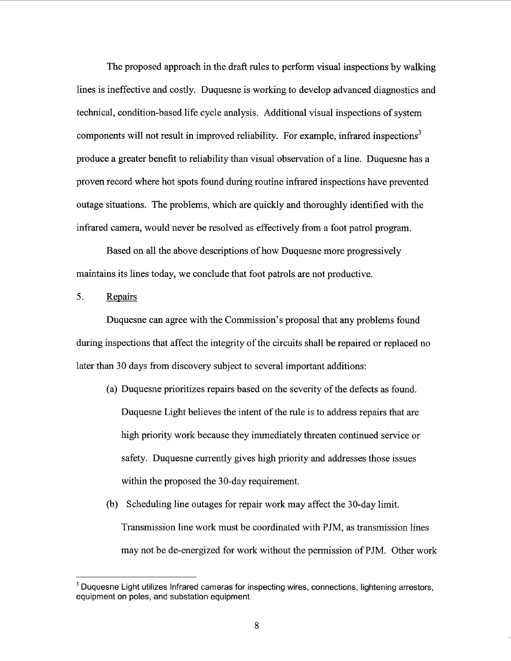The proposed approach in the draft rules to perform visual inspections by walking lines is ineffective and costly. Duquesne is working to develop advanced diagnostics and technical, condition-based life cycle analysis. Additional visual inspections of system components will not result in improved reliability. For example, infrared inspections<sup>3</sup> produce a greater benefit to reliability than visual observation of a line. Duquesne has a proven record where hot spots found during routine infrared inspections have prevented outage situations. The problems, which are quickly and thoroughly identified with the infrared camera, would never be resolved as effectively from a foot patrol program.

Based on all the above descriptions of how Duquesne more progressively maintains its lines today, we conclude that foot patrols are not productive.

#### $5<sub>1</sub>$ Repairs

Duquesne can agree with the Commission's proposal that any problems found during inspections that affect the integrity of the circuits shall be repaired or replaced no later than 30 days from discovery subject to several important additions:

- (a) Duquesne prioritizes repairs based on the severity of the defects as found. Duquesne Light believes the intent of the rule is to address repairs that are high priority work because they immediately threaten continued service or safety. Duquesne currently gives high priority and addresses those issues within the proposed the 30-day requirement.
- (b) Scheduling line outages for repair work may affect the 30-day limit. Transmission line work must be coordinated with P JM, as transmission lines may not be de-energized for work without the permission of PJM. Other work

<sup>&</sup>lt;sup>3</sup> Duquesne Light utilizes Infrared cameras for inspecting wires, connections, lightening arrestors, equipment on poles, and substation equipment.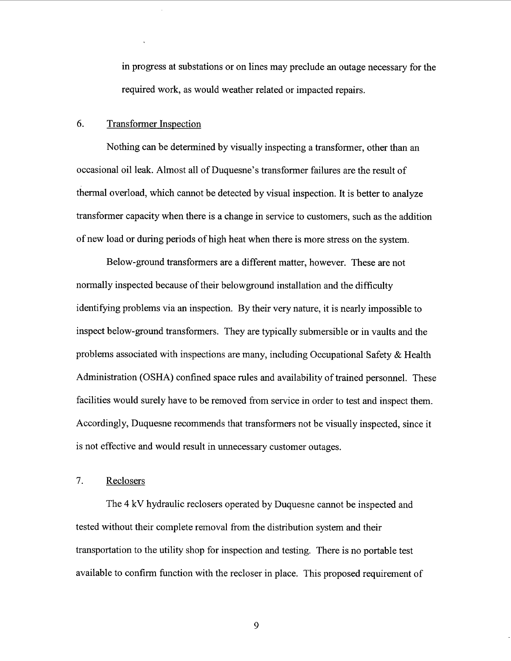in progress at substations or on lines may preclude an outage necessary for the required work, as would weather related or impacted repairs.

#### 6. Transformer Inspection

Nothing can be determined by visually inspecting a transformer, other than an occasional oil leak. Almost all of Duquesne's transformer failures are the result of thermal overload, which cannot be detected by visual inspection. It is better to analyze transformer capacity when there is a change in service to customers, such as the addition of new load or during periods of high heat when there is more stress on the system.

Below-ground transformers are a different matter, however. These are not normally inspected because of their belowground installation and the difficulty identifying problems via an inspection. By their very nature, it is nearly impossible to inspect below-ground transformers. They are typically submersible or in vaults and the problems associated with inspections are many, including Occupational Safety & Health Administration (OSHA) confined space rules and availability of trained personnel. These facilities would surely have to be removed from service in order to test and inspect them. Accordingly, Duquesne recommends that transformers not be visually inspected, since it is not effective and would result in unnecessary customer outages.

#### $7.$ Reclosers

The 4 kV hydraulic reclosers operated by Duquesne cannot be inspected and tested without their complete removal from the distribution system and their transportation to the utility shop for inspection and testing. There is no portable test available to confirm function with the recloser in place. This proposed requirement of

9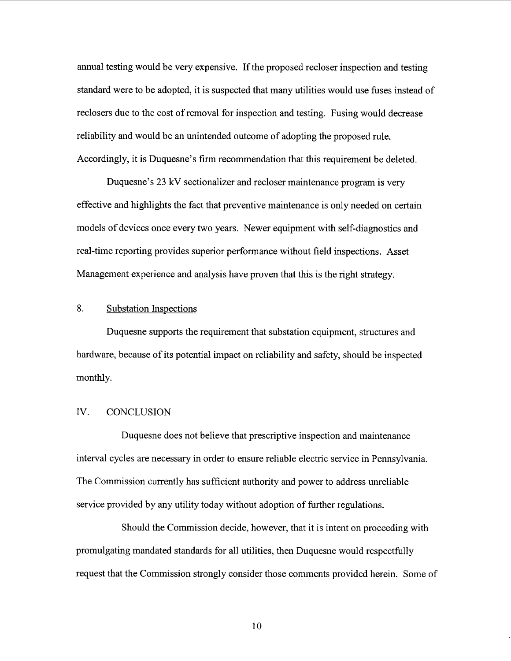annual testing would be very expensive. If the proposed recloser inspection and testing standard were to be adopted, it is suspected that many utilities would use fuses instead of reclosers due to the cost of removal for inspection and testing. Fusing would decrease reliability and would be an unintended outcome of adopting the proposed rule. Accordingly, it is Duquesne's firm recommendation that this requirement be deleted.

Duquesne's 23 kV sectionalizer and recloser maintenance program is very effective and highlights the fact that preventive maintenance is only needed on certain models of devices once every two years. Newer equipment with self-diagnostics and real-time reporting provides superior performance without field inspections. Asset Management experience and analysis have proven that this is the right strategy.

#### 8. Substation Inspections

Duquesne supports the requirement that substation equipment, structures and hardware, because of its potential impact on reliability and safety, should be inspected monthly.

### IV. CONCLUSION

Duquesne does not believe that prescriptive inspection and maintenance interval cycles are necessary in order to ensure reliable electric service in Pennsylvania. The Commission currently has sufficient authority and power to address unreliable service provided by any utility today without adoption of further regulations.

Should the Commission decide, however, that it is intent on proceeding with promulgating mandated standards for all utilities, then Duquesne would respectfully request that the Commission strongly consider those comments provided herein. Some of

10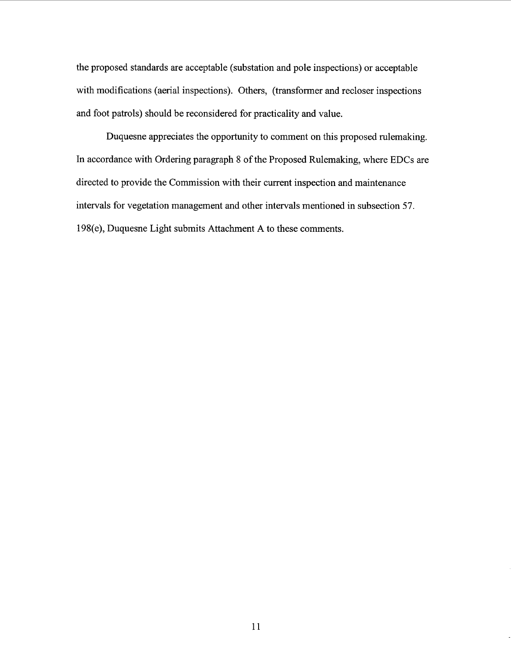the proposed standards are acceptable (substation and pole inspections) or acceptable with modifications (aerial inspections). Others, (transformer and recloser inspections and foot patrols) should be reconsidered for practicality and value.

Duquesne appreciates the opportunity to comment on this proposed rulemaking. In accordance with Ordering paragraph 8 of the Proposed Rulemaking, where EDCs are directed to provide the Commission with their current inspection and maintenance intervals for vegetation management and other intervals mentioned in subsection 57. 198(e), Duquesne Light submits Attachment A to these comments.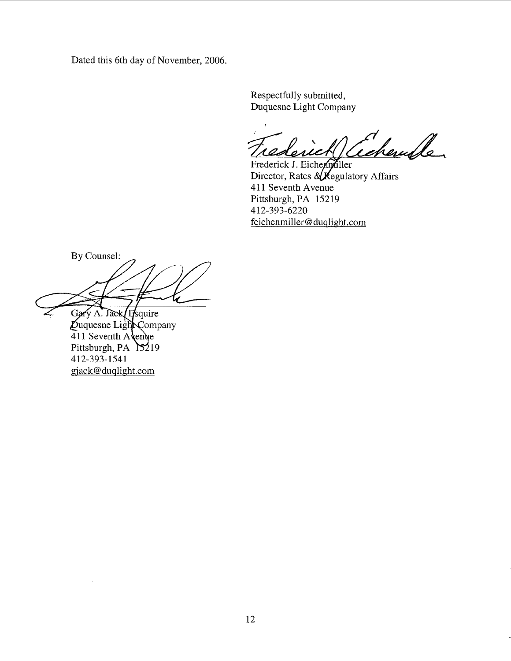Dated this 6th day of November, 2006.

Respectfully submitted Duquesne Light Company

chember rederic

Frederick J. Eicher Tiller Director, Rates  $\&\times$  Regulatory Affairs 411 Seventh Avenue Pittsburgh, PA 15219 412-393-6220 feichenmiller@duqlight.com

By Counsel:

Gary A. Jack Hsquire Duquesne Light Company<br>411 Seventh Avenue Pittsburgh, PA 15219 412-393-1541 gjack@duqlight.com